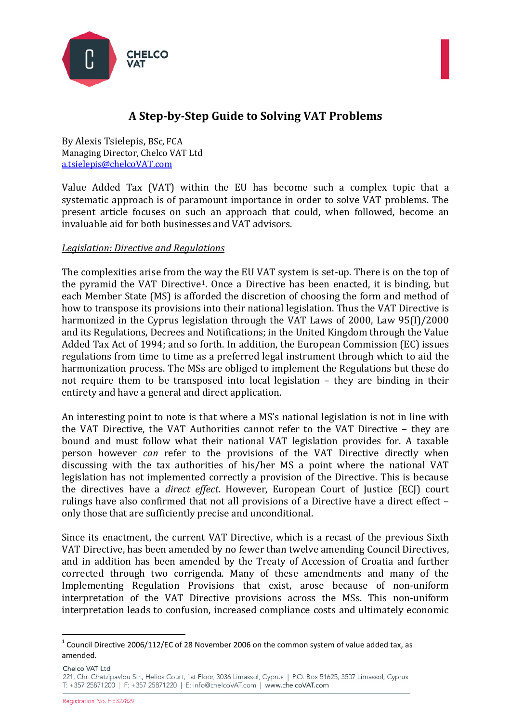



# **A Step-by-Step Guide to Solving VAT Problems**

By Alexis Tsielepis, BSc, FCA Managing Director, Chelco VAT Ltd [a.tsielepis@chelcoVAT.com](mailto:a.tsielepis@chelcoVAT.com)

Value Added Tax (VAT) within the EU has become such a complex topic that a systematic approach is of paramount importance in order to solve VAT problems. The present article focuses on such an approach that could, when followed, become an invaluable aid for both businesses and VAT advisors.

#### *Legislation: Directive and Regulations*

The complexities arise from the way the EU VAT system is set-up. There is on the top of the pyramid the VAT Directive[1](#page-0-0). Once a Directive has been enacted, it is binding, but each Member State (MS) is afforded the discretion of choosing the form and method of how to transpose its provisions into their national legislation. Thus the VAT Directive is harmonized in the Cyprus legislation through the VAT Laws of 2000, Law 95(I)/2000 and its Regulations, Decrees and Notifications; in the United Kingdom through the Value Added Tax Act of 1994; and so forth. In addition, the European Commission (EC) issues regulations from time to time as a preferred legal instrument through which to aid the harmonization process. The MSs are obliged to implement the Regulations but these do not require them to be transposed into local legislation – they are binding in their entirety and have a general and direct application.

An interesting point to note is that where a MS's national legislation is not in line with the VAT Directive, the VAT Authorities cannot refer to the VAT Directive – they are bound and must follow what their national VAT legislation provides for. A taxable person however *can* refer to the provisions of the VAT Directive directly when discussing with the tax authorities of his/her MS a point where the national VAT legislation has not implemented correctly a provision of the Directive. This is because the directives have a *direct effect*. However, European Court of Justice (ECJ) court rulings have also confirmed that not all provisions of a Directive have a direct effect – only those that are sufficiently precise and unconditional.

Since its enactment, the current VAT Directive, which is a recast of the previous Sixth VAT Directive, has been amended by no fewer than twelve amending Council Directives, and in addition has been amended by the Treaty of Accession of Croatia and further corrected through two corrigenda. Many of these amendments and many of the Implementing Regulation Provisions that exist, arose because of non-uniform interpretation of the VAT Directive provisions across the MSs. This non-uniform interpretation leads to confusion, increased compliance costs and ultimately economic

Chelco VAT I td

<span id="page-0-0"></span> $1$  Council Directive 2006/112/EC of 28 November 2006 on the common system of value added tax, as amended.

<sup>221,</sup> Chr. Chatzipavlou Str., Helios Court, 1st Floor, 3036 Limassol, Cyprus | P.O. Box 51625, 3507 Limassol, Cyprus T: +357 25871200 | F: +357 25871220 | E: info@chelcoVAT.com | www.chelcoVAT.com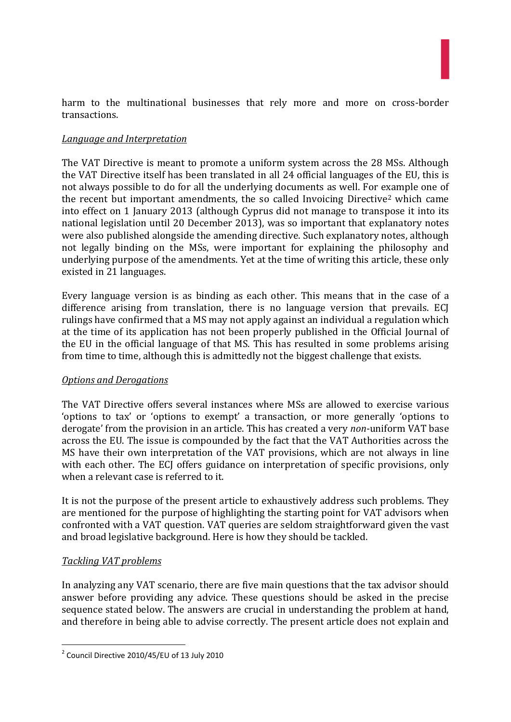harm to the multinational businesses that rely more and more on cross-border transactions.

### *Language and Interpretation*

The VAT Directive is meant to promote a uniform system across the 28 MSs. Although the VAT Directive itself has been translated in all 24 official languages of the EU, this is not always possible to do for all the underlying documents as well. For example one of the recent but important amendments, the so called Invoicing Directive<sup>[2](#page-1-0)</sup> which came into effect on 1 January 2013 (although Cyprus did not manage to transpose it into its national legislation until 20 December 2013), was so important that explanatory notes were also published alongside the amending directive. Such explanatory notes, although not legally binding on the MSs, were important for explaining the philosophy and underlying purpose of the amendments. Yet at the time of writing this article, these only existed in 21 languages.

Every language version is as binding as each other. This means that in the case of a difference arising from translation, there is no language version that prevails. ECJ rulings have confirmed that a MS may not apply against an individual a regulation which at the time of its application has not been properly published in the Official Journal of the EU in the official language of that MS. This has resulted in some problems arising from time to time, although this is admittedly not the biggest challenge that exists.

#### *Options and Derogations*

The VAT Directive offers several instances where MSs are allowed to exercise various 'options to tax' or 'options to exempt' a transaction, or more generally 'options to derogate' from the provision in an article. This has created a very *non*-uniform VAT base across the EU. The issue is compounded by the fact that the VAT Authorities across the MS have their own interpretation of the VAT provisions, which are not always in line with each other. The ECI offers guidance on interpretation of specific provisions, only when a relevant case is referred to it.

It is not the purpose of the present article to exhaustively address such problems. They are mentioned for the purpose of highlighting the starting point for VAT advisors when confronted with a VAT question. VAT queries are seldom straightforward given the vast and broad legislative background. Here is how they should be tackled.

#### *Tackling VAT problems*

In analyzing any VAT scenario, there are five main questions that the tax advisor should answer before providing any advice. These questions should be asked in the precise sequence stated below. The answers are crucial in understanding the problem at hand, and therefore in being able to advise correctly. The present article does not explain and

<span id="page-1-0"></span> <sup>2</sup> Council Directive 2010/45/EU of 13 July 2010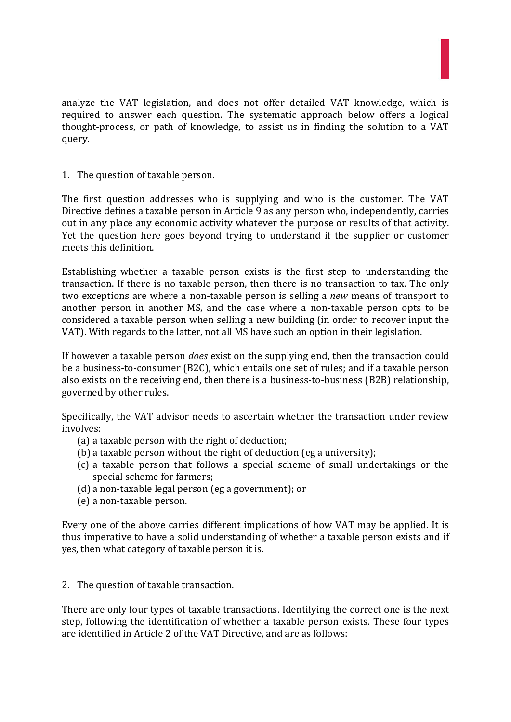

analyze the VAT legislation, and does not offer detailed VAT knowledge, which is required to answer each question. The systematic approach below offers a logical thought-process, or path of knowledge, to assist us in finding the solution to a VAT query.

1. The question of taxable person.

The first question addresses who is supplying and who is the customer. The VAT Directive defines a taxable person in Article 9 as any person who, independently, carries out in any place any economic activity whatever the purpose or results of that activity. Yet the question here goes beyond trying to understand if the supplier or customer meets this definition.

Establishing whether a taxable person exists is the first step to understanding the transaction. If there is no taxable person, then there is no transaction to tax. The only two exceptions are where a non-taxable person is selling a *new* means of transport to another person in another MS, and the case where a non-taxable person opts to be considered a taxable person when selling a new building (in order to recover input the VAT). With regards to the latter, not all MS have such an option in their legislation.

If however a taxable person *does* exist on the supplying end, then the transaction could be a business-to-consumer (B2C), which entails one set of rules; and if a taxable person also exists on the receiving end, then there is a business-to-business (B2B) relationship, governed by other rules.

Specifically, the VAT advisor needs to ascertain whether the transaction under review involves:

- (a) a taxable person with the right of deduction;
- (b) a taxable person without the right of deduction (eg a university);
- (c) a taxable person that follows a special scheme of small undertakings or the special scheme for farmers;
- (d) a non-taxable legal person (eg a government); or
- (e) a non-taxable person.

Every one of the above carries different implications of how VAT may be applied. It is thus imperative to have a solid understanding of whether a taxable person exists and if yes, then what category of taxable person it is.

2. The question of taxable transaction.

There are only four types of taxable transactions. Identifying the correct one is the next step, following the identification of whether a taxable person exists. These four types are identified in Article 2 of the VAT Directive, and are as follows: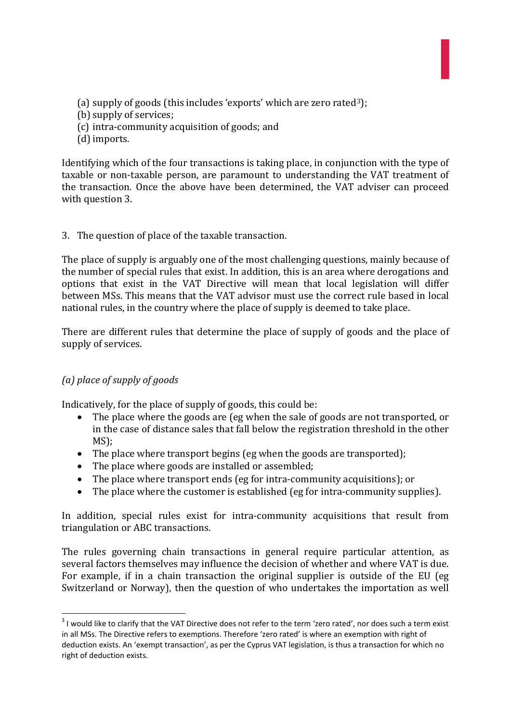- (a) supply of goods (this includes 'exports' which are zero rated<sup>[3](#page-3-0)</sup>);
- (b) supply of services;
- (c) intra-community acquisition of goods; and
- (d) imports.

Identifying which of the four transactions is taking place, in conjunction with the type of taxable or non-taxable person, are paramount to understanding the VAT treatment of the transaction. Once the above have been determined, the VAT adviser can proceed with question 3.

#### 3. The question of place of the taxable transaction.

The place of supply is arguably one of the most challenging questions, mainly because of the number of special rules that exist. In addition, this is an area where derogations and options that exist in the VAT Directive will mean that local legislation will differ between MSs. This means that the VAT advisor must use the correct rule based in local national rules, in the country where the place of supply is deemed to take place.

There are different rules that determine the place of supply of goods and the place of supply of services.

# *(a) place of supply of goods*

Indicatively, for the place of supply of goods, this could be:

- The place where the goods are (eg when the sale of goods are not transported, or in the case of distance sales that fall below the registration threshold in the other MS);
- The place where transport begins (eg when the goods are transported);
- The place where goods are installed or assembled;
- The place where transport ends (eg for intra-community acquisitions); or
- The place where the customer is established (eg for intra-community supplies).

In addition, special rules exist for intra-community acquisitions that result from triangulation or ABC transactions.

The rules governing chain transactions in general require particular attention, as several factors themselves may influence the decision of whether and where VAT is due. For example, if in a chain transaction the original supplier is outside of the EU (eg Switzerland or Norway), then the question of who undertakes the importation as well

<span id="page-3-0"></span><sup>&</sup>lt;sup>3</sup> I would like to clarify that the VAT Directive does not refer to the term 'zero rated', nor does such a term exist in all MSs. The Directive refers to exemptions. Therefore 'zero rated' is where an exemption with right of deduction exists. An 'exempt transaction', as per the Cyprus VAT legislation, is thus a transaction for which no right of deduction exists.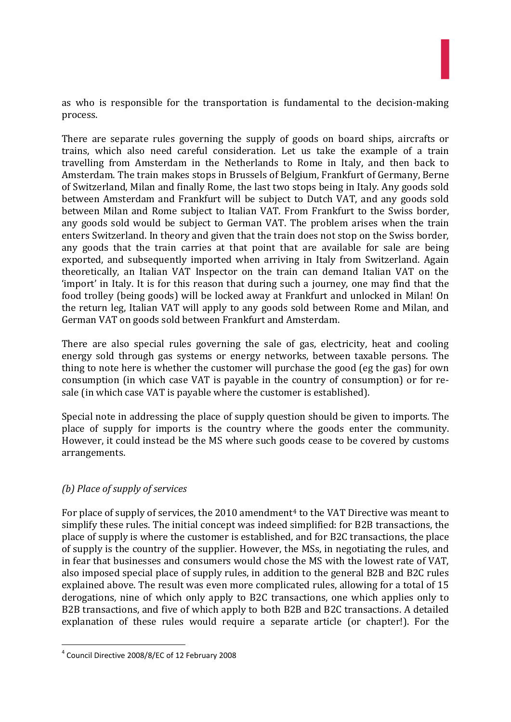as who is responsible for the transportation is fundamental to the decision-making process.

There are separate rules governing the supply of goods on board ships, aircrafts or trains, which also need careful consideration. Let us take the example of a train travelling from Amsterdam in the Netherlands to Rome in Italy, and then back to Amsterdam. The train makes stops in Brussels of Belgium, Frankfurt of Germany, Berne of Switzerland, Milan and finally Rome, the last two stops being in Italy. Any goods sold between Amsterdam and Frankfurt will be subject to Dutch VAT, and any goods sold between Milan and Rome subject to Italian VAT. From Frankfurt to the Swiss border, any goods sold would be subject to German VAT. The problem arises when the train enters Switzerland. In theory and given that the train does not stop on the Swiss border, any goods that the train carries at that point that are available for sale are being exported, and subsequently imported when arriving in Italy from Switzerland. Again theoretically, an Italian VAT Inspector on the train can demand Italian VAT on the 'import' in Italy. It is for this reason that during such a journey, one may find that the food trolley (being goods) will be locked away at Frankfurt and unlocked in Milan! On the return leg, Italian VAT will apply to any goods sold between Rome and Milan, and German VAT on goods sold between Frankfurt and Amsterdam.

There are also special rules governing the sale of gas, electricity, heat and cooling energy sold through gas systems or energy networks, between taxable persons. The thing to note here is whether the customer will purchase the good (eg the gas) for own consumption (in which case VAT is payable in the country of consumption) or for resale (in which case VAT is payable where the customer is established).

Special note in addressing the place of supply question should be given to imports. The place of supply for imports is the country where the goods enter the community. However, it could instead be the MS where such goods cease to be covered by customs arrangements.

# *(b) Place of supply of services*

For place of supply of services, the  $2010$  amendment<sup>[4](#page-4-0)</sup> to the VAT Directive was meant to simplify these rules. The initial concept was indeed simplified: for B2B transactions, the place of supply is where the customer is established, and for B2C transactions, the place of supply is the country of the supplier. However, the MSs, in negotiating the rules, and in fear that businesses and consumers would chose the MS with the lowest rate of VAT, also imposed special place of supply rules, in addition to the general B2B and B2C rules explained above. The result was even more complicated rules, allowing for a total of 15 derogations, nine of which only apply to B2C transactions, one which applies only to B2B transactions, and five of which apply to both B2B and B2C transactions. A detailed explanation of these rules would require a separate article (or chapter!). For the

<span id="page-4-0"></span> <sup>4</sup> Council Directive 2008/8/EC of 12 February 2008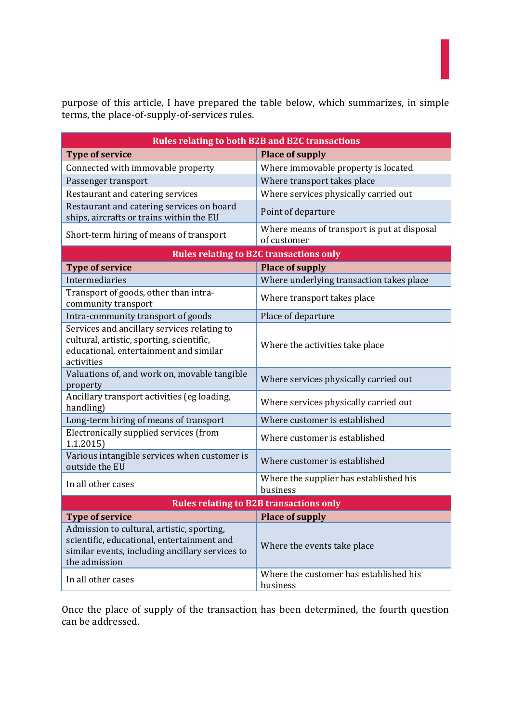purpose of this article, I have prepared the table below, which summarizes, in simple terms, the place-of-supply-of-services rules.

| <b>Rules relating to both B2B and B2C transactions</b>                                                                                                       |                                                            |
|--------------------------------------------------------------------------------------------------------------------------------------------------------------|------------------------------------------------------------|
| <b>Type of service</b>                                                                                                                                       | <b>Place of supply</b>                                     |
| Connected with immovable property                                                                                                                            | Where immovable property is located                        |
| Passenger transport                                                                                                                                          | Where transport takes place                                |
| Restaurant and catering services                                                                                                                             | Where services physically carried out                      |
| Restaurant and catering services on board<br>ships, aircrafts or trains within the EU                                                                        | Point of departure                                         |
| Short-term hiring of means of transport                                                                                                                      | Where means of transport is put at disposal<br>of customer |
| <b>Rules relating to B2C transactions only</b>                                                                                                               |                                                            |
| <b>Type of service</b>                                                                                                                                       | <b>Place of supply</b>                                     |
| Intermediaries                                                                                                                                               | Where underlying transaction takes place                   |
| Transport of goods, other than intra-<br>community transport                                                                                                 | Where transport takes place                                |
| Intra-community transport of goods                                                                                                                           | Place of departure                                         |
| Services and ancillary services relating to<br>cultural, artistic, sporting, scientific,<br>educational, entertainment and similar<br>activities             | Where the activities take place                            |
| Valuations of, and work on, movable tangible<br>property                                                                                                     | Where services physically carried out                      |
| Ancillary transport activities (eg loading,<br>handling)                                                                                                     | Where services physically carried out                      |
| Long-term hiring of means of transport                                                                                                                       | Where customer is established                              |
| Electronically supplied services (from<br>1.1.2015                                                                                                           | Where customer is established                              |
| Various intangible services when customer is<br>outside the EU                                                                                               | Where customer is established                              |
| In all other cases                                                                                                                                           | Where the supplier has established his<br>business         |
| <b>Rules relating to B2B transactions only</b>                                                                                                               |                                                            |
| <b>Type of service</b>                                                                                                                                       | Place of supply                                            |
| Admission to cultural, artistic, sporting,<br>scientific, educational, entertainment and<br>similar events, including ancillary services to<br>the admission | Where the events take place                                |
| In all other cases                                                                                                                                           | Where the customer has established his<br>business         |

Once the place of supply of the transaction has been determined, the fourth question can be addressed.